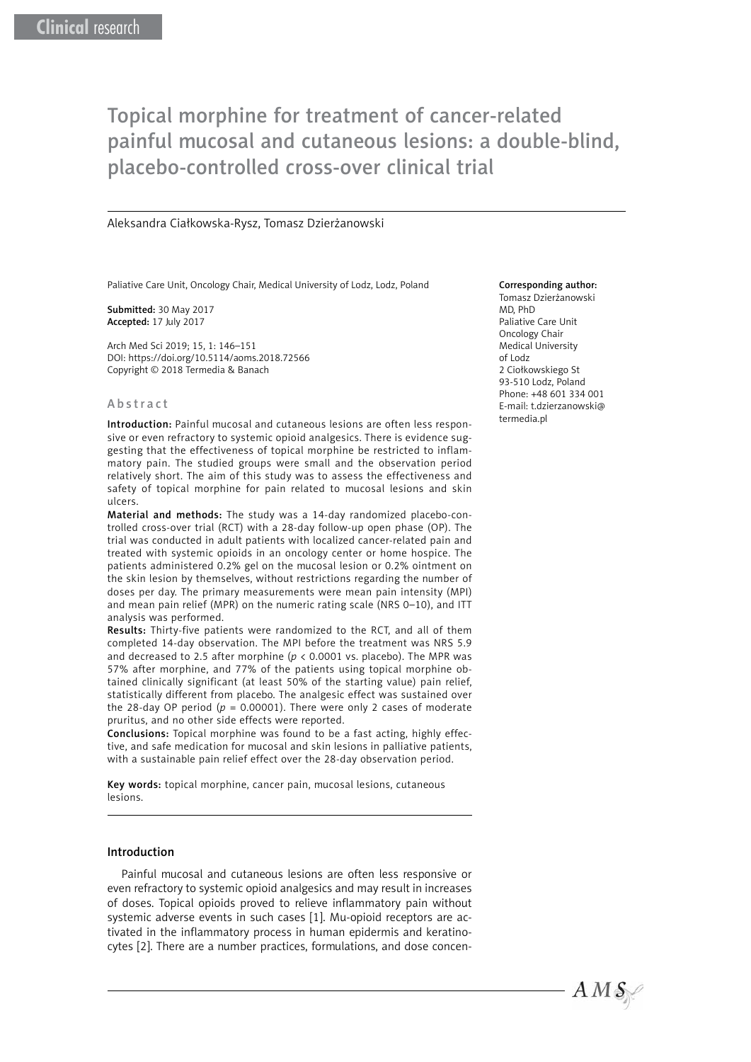# Topical morphine for treatment of cancer-related painful mucosal and cutaneous lesions: a double-blind, placebo-controlled cross-over clinical trial

### Aleksandra Ciałkowska-Rysz, Tomasz Dzierżanowski

Paliative Care Unit, Oncology Chair, Medical University of Lodz, Lodz, Poland

Submitted: 30 May 2017 Accepted: 17 July 2017

Arch Med Sci 2019; 15, 1: 146–151 DOI: https://doi.org/10.5114/aoms.2018.72566 Copyright © 2018 Termedia & Banach

#### Abstract

Introduction: Painful mucosal and cutaneous lesions are often less responsive or even refractory to systemic opioid analgesics. There is evidence suggesting that the effectiveness of topical morphine be restricted to inflammatory pain. The studied groups were small and the observation period relatively short. The aim of this study was to assess the effectiveness and safety of topical morphine for pain related to mucosal lesions and skin ulcers.

Material and methods: The study was a 14-day randomized placebo-controlled cross-over trial (RCT) with a 28-day follow-up open phase (OP). The trial was conducted in adult patients with localized cancer-related pain and treated with systemic opioids in an oncology center or home hospice. The patients administered 0.2% gel on the mucosal lesion or 0.2% ointment on the skin lesion by themselves, without restrictions regarding the number of doses per day. The primary measurements were mean pain intensity (MPI) and mean pain relief (MPR) on the numeric rating scale (NRS 0–10), and ITT analysis was performed.

Results: Thirty-five patients were randomized to the RCT, and all of them completed 14-day observation. The MPI before the treatment was NRS 5.9 and decreased to 2.5 after morphine (*p* < 0.0001 vs. placebo). The MPR was 57% after morphine, and 77% of the patients using topical morphine obtained clinically significant (at least 50% of the starting value) pain relief, statistically different from placebo. The analgesic effect was sustained over the 28-day OP period  $(p = 0.00001)$ . There were only 2 cases of moderate pruritus, and no other side effects were reported.

Conclusions: Topical morphine was found to be a fast acting, highly effective, and safe medication for mucosal and skin lesions in palliative patients, with a sustainable pain relief effect over the 28-day observation period.

Key words: topical morphine, cancer pain, mucosal lesions, cutaneous lesions.

#### Introduction

Painful mucosal and cutaneous lesions are often less responsive or even refractory to systemic opioid analgesics and may result in increases of doses. Topical opioids proved to relieve inflammatory pain without systemic adverse events in such cases [1]. Mu-opioid receptors are activated in the inflammatory process in human epidermis and keratinocytes [2]. There are a number practices, formulations, and dose concen-

## Corresponding author:

Tomasz Dzierżanowski MD, PhD Paliative Care Unit Oncology Chair Medical University of Lodz 2 Ciołkowskiego St 93-510 Lodz, Poland Phone: +48 601 334 001 E-mail: [t.dzierzanowski@](mailto:t.dzierzanowski@termedia.pl) [termedia.pl](mailto:t.dzierzanowski@termedia.pl)

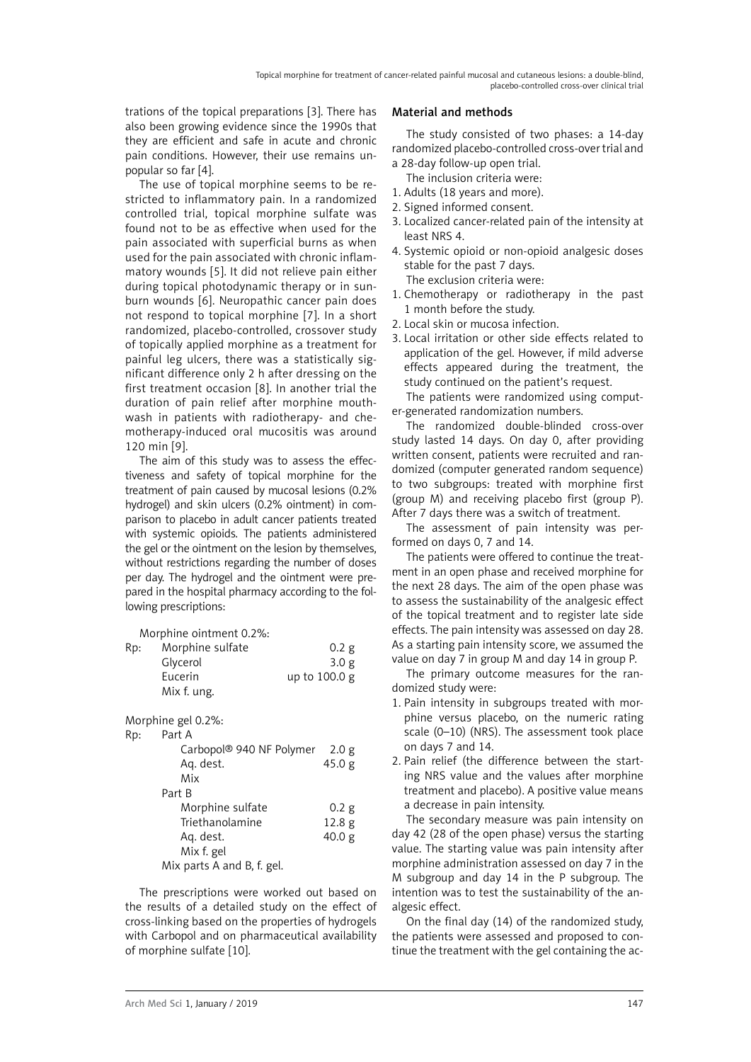trations of the topical preparations [3]. There has also been growing evidence since the 1990s that they are efficient and safe in acute and chronic pain conditions. However, their use remains unpopular so far [4].

The use of topical morphine seems to be restricted to inflammatory pain. In a randomized controlled trial, topical morphine sulfate was found not to be as effective when used for the pain associated with superficial burns as when used for the pain associated with chronic inflammatory wounds [5]. It did not relieve pain either during topical photodynamic therapy or in sunburn wounds [6]. Neuropathic cancer pain does not respond to topical morphine [7]. In a short randomized, placebo-controlled, crossover study of topically applied morphine as a treatment for painful leg ulcers, there was a statistically significant difference only 2 h after dressing on the first treatment occasion [8]. In another trial the duration of pain relief after morphine mouthwash in patients with radiotherapy- and chemotherapy-induced oral mucositis was around 120 min [9].

The aim of this study was to assess the effectiveness and safety of topical morphine for the treatment of pain caused by mucosal lesions (0.2% hydrogel) and skin ulcers (0.2% ointment) in comparison to placebo in adult cancer patients treated with systemic opioids. The patients administered the gel or the ointment on the lesion by themselves, without restrictions regarding the number of doses per day. The hydrogel and the ointment were prepared in the hospital pharmacy according to the following prescriptions:

Morphine ointment 0.2%:

| Rp: | Morphine sulfate | 0.2 g            |
|-----|------------------|------------------|
|     | Glycerol         | 3.0 <sub>g</sub> |
|     | Eucerin          | up to $100.0 g$  |
|     | Mix f. ung.      |                  |

Morphine gel 0.2%:

| Rp: | Part A                     |                   |
|-----|----------------------------|-------------------|
|     | Carbopol® 940 NF Polymer   | 2.0 <sub>g</sub>  |
|     | Aq. dest.                  | 45.0 g            |
|     | Mix                        |                   |
|     | Part B                     |                   |
|     | Morphine sulfate           | $0.2$ g           |
|     | Triethanolamine            | 12.8 <sub>g</sub> |
|     | Aq. dest.                  | 40.0 g            |
|     | Mix f. gel                 |                   |
|     | Mix parts A and B, f. gel. |                   |

The prescriptions were worked out based on the results of a detailed study on the effect of cross-linking based on the properties of hydrogels with Carbopol and on pharmaceutical availability of morphine sulfate [10].

# Material and methods

The study consisted of two phases: a 14-day randomized placebo-controlled cross-over trial and a 28-day follow-up open trial.

- The inclusion criteria were:
- 1. Adults (18 years and more).
- 2. Signed informed consent.
- 3. Localized cancer-related pain of the intensity at least NRS 4.
- 4. Systemic opioid or non-opioid analgesic doses stable for the past 7 days.

The exclusion criteria were:

- 1. Chemotherapy or radiotherapy in the past 1 month before the study.
- 2. Local skin or mucosa infection.
- 3. Local irritation or other side effects related to application of the gel. However, if mild adverse effects appeared during the treatment, the study continued on the patient's request.

The patients were randomized using computer-generated randomization numbers.

The randomized double-blinded cross-over study lasted 14 days. On day 0, after providing written consent, patients were recruited and randomized (computer generated random sequence) to two subgroups: treated with morphine first (group M) and receiving placebo first (group P). After 7 days there was a switch of treatment.

The assessment of pain intensity was performed on days 0, 7 and 14.

The patients were offered to continue the treatment in an open phase and received morphine for the next 28 days. The aim of the open phase was to assess the sustainability of the analgesic effect of the topical treatment and to register late side effects. The pain intensity was assessed on day 28. As a starting pain intensity score, we assumed the value on day 7 in group M and day 14 in group P.

The primary outcome measures for the randomized study were:

- 1. Pain intensity in subgroups treated with morphine versus placebo, on the numeric rating scale (0–10) (NRS). The assessment took place on days 7 and 14.
- 2. Pain relief (the difference between the starting NRS value and the values after morphine treatment and placebo). A positive value means a decrease in pain intensity.

The secondary measure was pain intensity on day 42 (28 of the open phase) versus the starting value. The starting value was pain intensity after morphine administration assessed on day 7 in the M subgroup and day 14 in the P subgroup. The intention was to test the sustainability of the analgesic effect.

On the final day (14) of the randomized study, the patients were assessed and proposed to continue the treatment with the gel containing the ac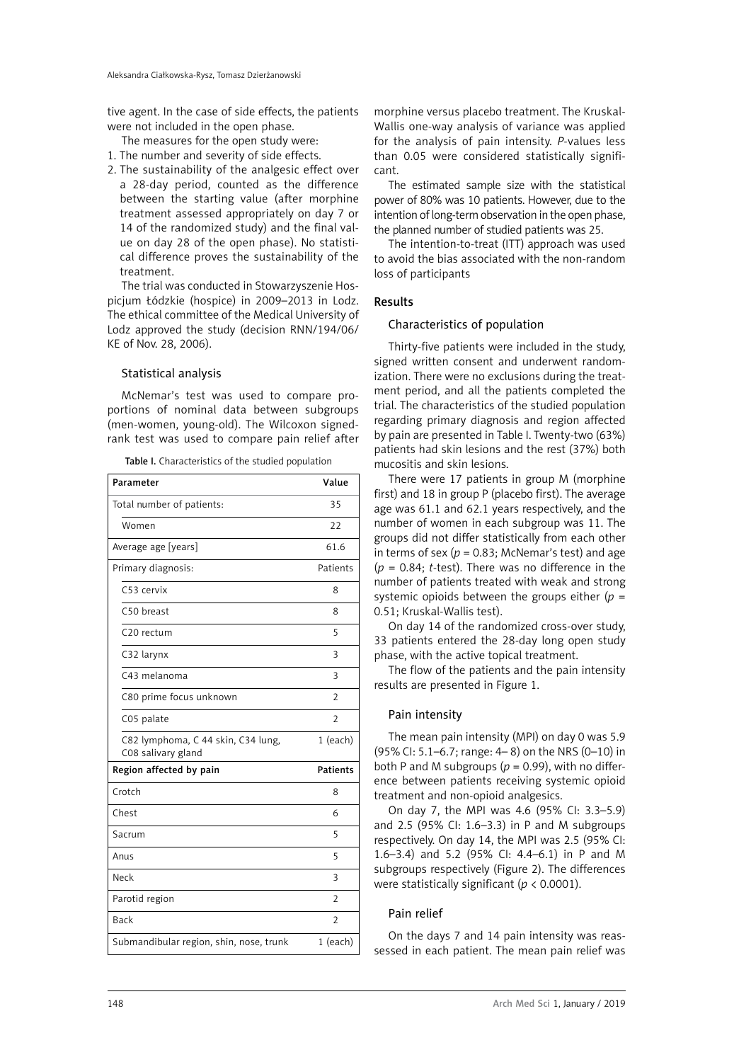tive agent. In the case of side effects, the patients were not included in the open phase.

The measures for the open study were:

1. The number and severity of side effects.

2. The sustainability of the analgesic effect over a 28-day period, counted as the difference between the starting value (after morphine treatment assessed appropriately on day 7 or 14 of the randomized study) and the final value on day 28 of the open phase). No statistical difference proves the sustainability of the treatment.

The trial was conducted in Stowarzyszenie Hospicjum Łódzkie (hospice) in 2009–2013 in Lodz. The ethical committee of the Medical University of Lodz approved the study (decision RNN/194/06/ KE of Nov. 28, 2006).

# Statistical analysis

McNemar's test was used to compare proportions of nominal data between subgroups (men-women, young-old). The Wilcoxon signedrank test was used to compare pain relief after

Table I. Characteristics of the studied population

| Parameter                                                | Value           |
|----------------------------------------------------------|-----------------|
| Total number of patients:                                | 35              |
| Women                                                    | 22              |
| Average age [years]                                      | 61.6            |
| Primary diagnosis:                                       | Patients        |
| C53 cervix                                               | 8               |
| C50 breast                                               | 8               |
| C20 rectum                                               | 5               |
| C32 larynx                                               | 3               |
| C43 melanoma                                             | 3               |
| C80 prime focus unknown                                  | $\overline{2}$  |
| C05 palate                                               | $\overline{2}$  |
| C82 lymphoma, C 44 skin, C34 lung,<br>C08 salivary gland | $1$ (each)      |
| Region affected by pain                                  | <b>Patients</b> |
| Crotch                                                   | 8               |
| Chest                                                    | 6               |
| Sacrum                                                   | 5               |
| Anus                                                     | 5               |
| Neck                                                     | 3               |
| Parotid region                                           | $\overline{2}$  |
| <b>Back</b>                                              | $\overline{2}$  |
| Submandibular region, shin, nose, trunk                  | $1$ (each)      |

morphine versus placebo treatment. The Kruskal-Wallis one-way analysis of variance was applied for the analysis of pain intensity. *P*-values less than 0.05 were considered statistically significant.

The estimated sample size with the statistical power of 80% was 10 patients. However, due to the intention of long-term observation in the open phase, the planned number of studied patients was 25.

The intention-to-treat (ITT) approach was used to avoid the bias associated with the non-random loss of participants

# Results

# Characteristics of population

Thirty-five patients were included in the study, signed written consent and underwent randomization. There were no exclusions during the treatment period, and all the patients completed the trial. The characteristics of the studied population regarding primary diagnosis and region affected by pain are presented in Table I. Twenty-two (63%) patients had skin lesions and the rest (37%) both mucositis and skin lesions.

There were 17 patients in group M (morphine first) and 18 in group P (placebo first). The average age was 61.1 and 62.1 years respectively, and the number of women in each subgroup was 11. The groups did not differ statistically from each other in terms of sex ( $p = 0.83$ ; McNemar's test) and age (*p* = 0.84; *t*-test). There was no difference in the number of patients treated with weak and strong systemic opioids between the groups either (*p* = 0.51; Kruskal-Wallis test).

On day 14 of the randomized cross-over study, 33 patients entered the 28-day long open study phase, with the active topical treatment.

The flow of the patients and the pain intensity results are presented in Figure 1.

# Pain intensity

The mean pain intensity (MPI) on day 0 was 5.9 (95% CI: 5.1–6.7; range: 4– 8) on the NRS (0–10) in both P and M subgroups ( $p = 0.99$ ), with no difference between patients receiving systemic opioid treatment and non-opioid analgesics.

On day 7, the MPI was 4.6 (95% CI: 3.3–5.9) and 2.5 (95% CI: 1.6–3.3) in P and M subgroups respectively. On day 14, the MPI was 2.5 (95% CI: 1.6–3.4) and 5.2 (95% CI: 4.4–6.1) in P and M subgroups respectively (Figure 2). The differences were statistically significant (*p* < 0.0001).

# Pain relief

On the days 7 and 14 pain intensity was reassessed in each patient. The mean pain relief was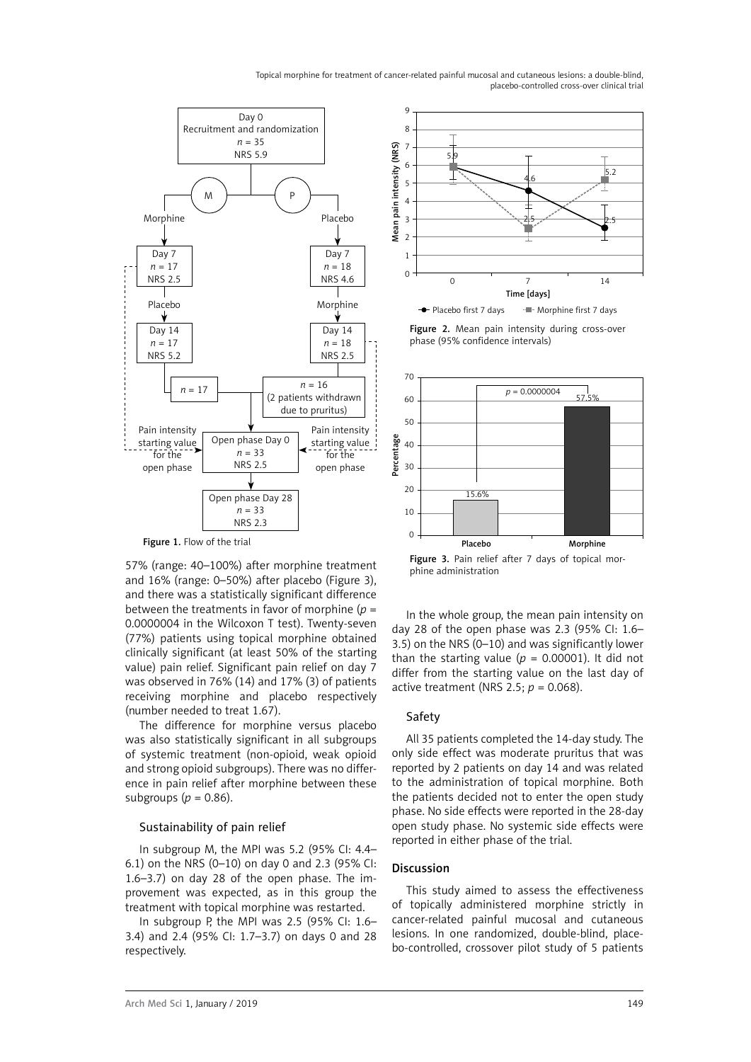Topical morphine for treatment of cancer-related painful mucosal and cutaneous lesions: a double-blind, placebo-controlled cross-over clinical trial



Figure 1. Flow of the trial

57% (range: 40–100%) after morphine treatment and 16% (range: 0–50%) after placebo (Figure 3), and there was a statistically significant difference between the treatments in favor of morphine ( $p =$ 0.0000004 in the Wilcoxon T test). Twenty-seven (77%) patients using topical morphine obtained clinically significant (at least 50% of the starting value) pain relief. Significant pain relief on day 7 was observed in 76% (14) and 17% (3) of patients receiving morphine and placebo respectively (number needed to treat 1.67).

The difference for morphine versus placebo was also statistically significant in all subgroups of systemic treatment (non-opioid, weak opioid and strong opioid subgroups). There was no difference in pain relief after morphine between these subgroups ( $p = 0.86$ ).

# Sustainability of pain relief

In subgroup M, the MPI was 5.2 (95% CI: 4.4– 6.1) on the NRS (0–10) on day 0 and 2.3 (95% CI: 1.6–3.7) on day 28 of the open phase. The improvement was expected, as in this group the treatment with topical morphine was restarted.

In subgroup P, the MPI was 2.5 (95% CI: 1.6– 3.4) and 2.4 (95% CI: 1.7–3.7) on days 0 and 28 respectively.



→ Placebo first 7 days - → Morphine first 7 days

Figure 2. Mean pain intensity during cross-over phase (95% confidence intervals)



Figure 3. Pain relief after 7 days of topical morphine administration

In the whole group, the mean pain intensity on day 28 of the open phase was 2.3 (95% CI: 1.6– 3.5) on the NRS (0–10) and was significantly lower than the starting value ( $p = 0.00001$ ). It did not differ from the starting value on the last day of active treatment (NRS 2.5; *p* = 0.068).

# Safety

All 35 patients completed the 14-day study. The only side effect was moderate pruritus that was reported by 2 patients on day 14 and was related to the administration of topical morphine. Both the patients decided not to enter the open study phase. No side effects were reported in the 28-day open study phase. No systemic side effects were reported in either phase of the trial.

# Discussion

This study aimed to assess the effectiveness of topically administered morphine strictly in cancer-related painful mucosal and cutaneous lesions. In one randomized, double-blind, placebo-controlled, crossover pilot study of 5 patients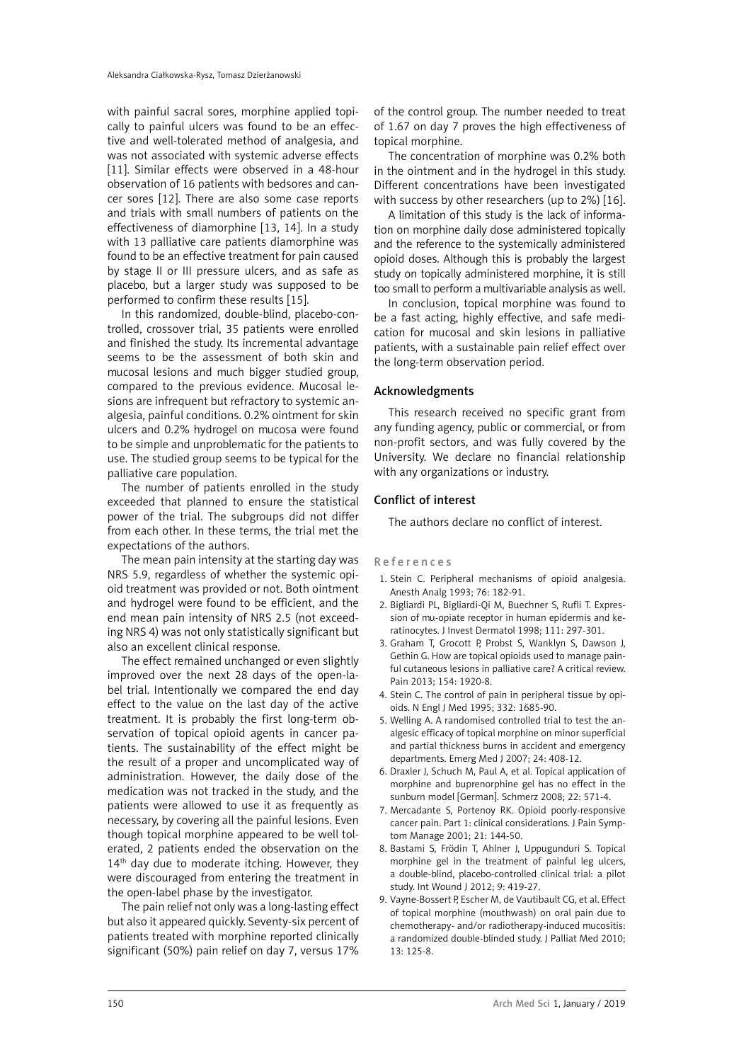with painful sacral sores, morphine applied topically to painful ulcers was found to be an effective and well-tolerated method of analgesia, and was not associated with systemic adverse effects [11]. Similar effects were observed in a 48-hour observation of 16 patients with bedsores and cancer sores [12]. There are also some case reports and trials with small numbers of patients on the effectiveness of diamorphine [13, 14]. In a study with 13 palliative care patients diamorphine was found to be an effective treatment for pain caused by stage II or III pressure ulcers, and as safe as placebo, but a larger study was supposed to be performed to confirm these results [15].

In this randomized, double-blind, placebo-controlled, crossover trial, 35 patients were enrolled and finished the study. Its incremental advantage seems to be the assessment of both skin and mucosal lesions and much bigger studied group, compared to the previous evidence. Mucosal lesions are infrequent but refractory to systemic analgesia, painful conditions. 0.2% ointment for skin ulcers and 0.2% hydrogel on mucosa were found to be simple and unproblematic for the patients to use. The studied group seems to be typical for the palliative care population.

The number of patients enrolled in the study exceeded that planned to ensure the statistical power of the trial. The subgroups did not differ from each other. In these terms, the trial met the expectations of the authors.

The mean pain intensity at the starting day was NRS 5.9, regardless of whether the systemic opioid treatment was provided or not. Both ointment and hydrogel were found to be efficient, and the end mean pain intensity of NRS 2.5 (not exceeding NRS 4) was not only statistically significant but also an excellent clinical response.

The effect remained unchanged or even slightly improved over the next 28 days of the open-label trial. Intentionally we compared the end day effect to the value on the last day of the active treatment. It is probably the first long-term observation of topical opioid agents in cancer patients. The sustainability of the effect might be the result of a proper and uncomplicated way of administration. However, the daily dose of the medication was not tracked in the study, and the patients were allowed to use it as frequently as necessary, by covering all the painful lesions. Even though topical morphine appeared to be well tolerated, 2 patients ended the observation on the 14<sup>th</sup> day due to moderate itching. However, they were discouraged from entering the treatment in the open-label phase by the investigator.

The pain relief not only was a long-lasting effect but also it appeared quickly. Seventy-six percent of patients treated with morphine reported clinically significant (50%) pain relief on day 7, versus 17%

of the control group. The number needed to treat of 1.67 on day 7 proves the high effectiveness of topical morphine.

The concentration of morphine was 0.2% both in the ointment and in the hydrogel in this study. Different concentrations have been investigated with success by other researchers (up to 2%) [16].

A limitation of this study is the lack of information on morphine daily dose administered topically and the reference to the systemically administered opioid doses. Although this is probably the largest study on topically administered morphine, it is still too small to perform a multivariable analysis as well.

In conclusion, topical morphine was found to be a fast acting, highly effective, and safe medication for mucosal and skin lesions in palliative patients, with a sustainable pain relief effect over the long-term observation period.

## Acknowledgments

This research received no specific grant from any funding agency, public or commercial, or from non-profit sectors, and was fully covered by the University. We declare no financial relationship with any organizations or industry.

# Conflict of interest

The authors declare no conflict of interest.

## References

- 1. Stein C. Peripheral mechanisms of opioid analgesia. Anesth Analg 1993; 76: 182-91.
- 2. Bigliardi PL, Bigliardi-Qi M, Buechner S, Rufli T. Expression of mu-opiate receptor in human epidermis and keratinocytes. J Invest Dermatol 1998; 111: 297-301.
- 3. Graham T, Grocott P, Probst S, Wanklyn S, Dawson J, Gethin G. How are topical opioids used to manage painful cutaneous lesions in palliative care? A critical review. Pain 2013; 154: 1920-8.
- 4. Stein C. The control of pain in peripheral tissue by opioids. N Engl J Med 1995; 332: 1685-90.
- 5. Welling A. A randomised controlled trial to test the analgesic efficacy of topical morphine on minor superficial and partial thickness burns in accident and emergency departments. Emerg Med J 2007; 24: 408-12.
- 6. Draxler J, Schuch M, Paul A, et al. Topical application of morphine and buprenorphine gel has no effect in the sunburn model [German]. Schmerz 2008; 22: 571-4.
- 7. Mercadante S, Portenoy RK. Opioid poorly-responsive cancer pain. Part 1: clinical considerations. J Pain Symptom Manage 2001; 21: 144-50.
- 8. Bastami S, Frödin T, Ahlner J, Uppugunduri S. Topical morphine gel in the treatment of painful leg ulcers, a double-blind, placebo-controlled clinical trial: a pilot study. Int Wound J 2012; 9: 419-27.
- 9. Vayne-Bossert P, Escher M, de Vautibault CG, et al. Effect of topical morphine (mouthwash) on oral pain due to chemotherapy- and/or radiotherapy-induced mucositis: a randomized double-blinded study. J Palliat Med 2010; 13: 125-8.